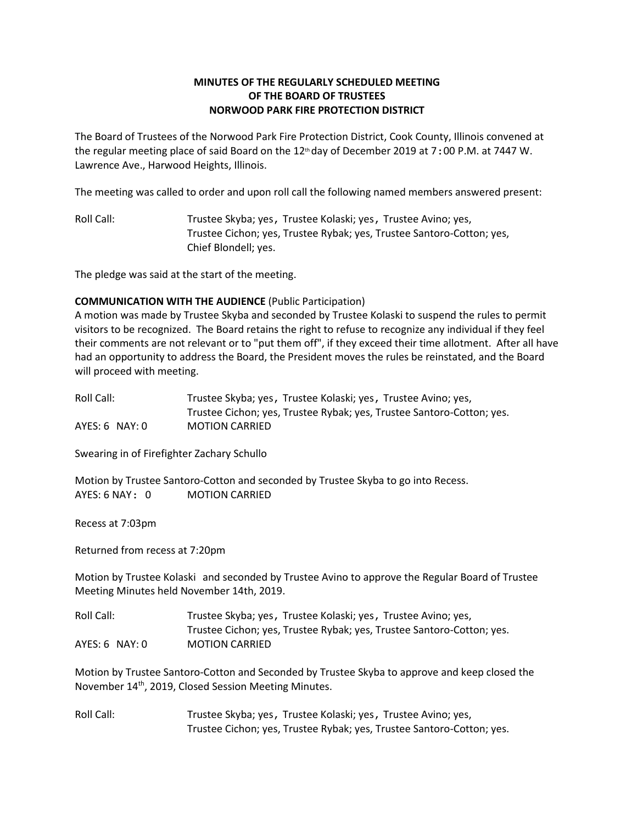# **MINUTES OF THE REGULARLY SCHEDULED MEETING OF THE BOARD OF TRUSTEES NORWOOD PARK FIRE PROTECTION DISTRICT**

The Board of Trustees of the Norwood Park Fire Protection District, Cook County, Illinois convened at the regular meeting place of said Board on the  $12<sup>th</sup>$  day of December 2019 at 7:00 P.M. at 7447 W. Lawrence Ave., Harwood Heights, Illinois.

The meeting was called to order and upon roll call the following named members answered present:

Roll Call: Trustee Skyba; yes, Trustee Kolaski; yes, Trustee Avino; yes, Trustee Cichon; yes, Trustee Rybak; yes, Trustee Santoro-Cotton; yes, Chief Blondell; yes.

The pledge was said at the start of the meeting.

## **COMMUNICATION WITH THE AUDIENCE** (Public Participation)

A motion was made by Trustee Skyba and seconded by Trustee Kolaski to suspend the rules to permit visitors to be recognized. The Board retains the right to refuse to recognize any individual if they feel their comments are not relevant or to "put them off", if they exceed their time allotment. After all have had an opportunity to address the Board, the President moves the rules be reinstated, and the Board will proceed with meeting.

| Roll Call:     | Trustee Skyba; yes, Trustee Kolaski; yes, Trustee Avino; yes,         |
|----------------|-----------------------------------------------------------------------|
|                | Trustee Cichon; yes, Trustee Rybak; yes, Trustee Santoro-Cotton; yes. |
| AYES: 6 NAY: 0 | <b>MOTION CARRIED</b>                                                 |

Swearing in of Firefighter Zachary Schullo

Motion by Trustee Santoro-Cotton and seconded by Trustee Skyba to go into Recess. AYES: 6 NAY: 0 MOTION CARRIED

Recess at 7:03pm

Returned from recess at 7:20pm

Motion by Trustee Kolaski and seconded by Trustee Avino to approve the Regular Board of Trustee Meeting Minutes held November 14th, 2019.

| Roll Call:       | Trustee Skyba; yes, Trustee Kolaski; yes, Trustee Avino; yes,         |
|------------------|-----------------------------------------------------------------------|
|                  | Trustee Cichon; yes, Trustee Rybak; yes, Trustee Santoro-Cotton; yes. |
| $AYES: 6$ NAY: 0 | <b>MOTION CARRIED</b>                                                 |

Motion by Trustee Santoro-Cotton and Seconded by Trustee Skyba to approve and keep closed the November 14<sup>th</sup>, 2019, Closed Session Meeting Minutes.

Roll Call: Trustee Skyba; yes, Trustee Kolaski; yes, Trustee Avino; yes, Trustee Cichon; yes, Trustee Rybak; yes, Trustee Santoro-Cotton; yes.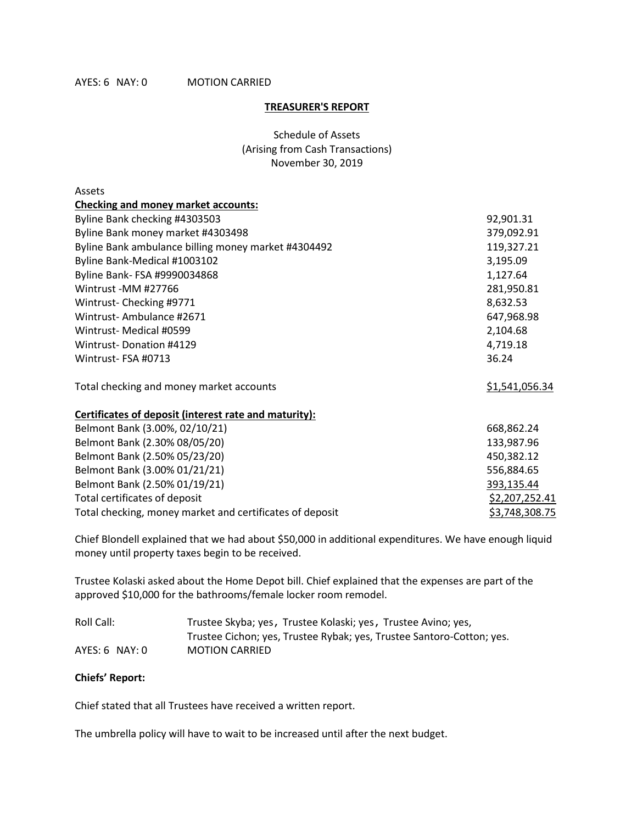#### **TREASURER'S REPORT**

Schedule of Assets (Arising from Cash Transactions) November 30, 2019

| Assets                                                   |                |
|----------------------------------------------------------|----------------|
| <b>Checking and money market accounts:</b>               |                |
| Byline Bank checking #4303503                            | 92,901.31      |
| Byline Bank money market #4303498                        | 379,092.91     |
| Byline Bank ambulance billing money market #4304492      | 119,327.21     |
| Byline Bank-Medical #1003102                             | 3,195.09       |
| Byline Bank- FSA #9990034868                             | 1,127.64       |
| Wintrust -MM #27766                                      | 281,950.81     |
| Wintrust-Checking #9771                                  | 8,632.53       |
| Wintrust-Ambulance #2671                                 | 647,968.98     |
| Wintrust- Medical #0599                                  | 2,104.68       |
| <b>Wintrust-Donation #4129</b>                           | 4,719.18       |
| Wintrust-FSA #0713                                       | 36.24          |
| Total checking and money market accounts                 | \$1,541,056.34 |
| Certificates of deposit (interest rate and maturity):    |                |
| Belmont Bank (3.00%, 02/10/21)                           | 668,862.24     |
| Belmont Bank (2.30% 08/05/20)                            | 133,987.96     |
| Belmont Bank (2.50% 05/23/20)                            | 450,382.12     |
| Belmont Bank (3.00% 01/21/21)                            | 556,884.65     |
| Belmont Bank (2.50% 01/19/21)                            | 393,135.44     |
| Total certificates of deposit                            | \$2,207,252.41 |
| Total checking, money market and certificates of deposit | \$3,748,308.75 |

Chief Blondell explained that we had about \$50,000 in additional expenditures. We have enough liquid money until property taxes begin to be received.

Trustee Kolaski asked about the Home Depot bill. Chief explained that the expenses are part of the approved \$10,000 for the bathrooms/female locker room remodel.

| Roll Call:       | Trustee Skyba; yes, Trustee Kolaski; yes, Trustee Avino; yes,         |
|------------------|-----------------------------------------------------------------------|
|                  | Trustee Cichon; yes, Trustee Rybak; yes, Trustee Santoro-Cotton; yes. |
| $AYES: 6$ NAY: 0 | <b>MOTION CARRIED</b>                                                 |

## **Chiefs' Report:**

Chief stated that all Trustees have received a written report.

The umbrella policy will have to wait to be increased until after the next budget.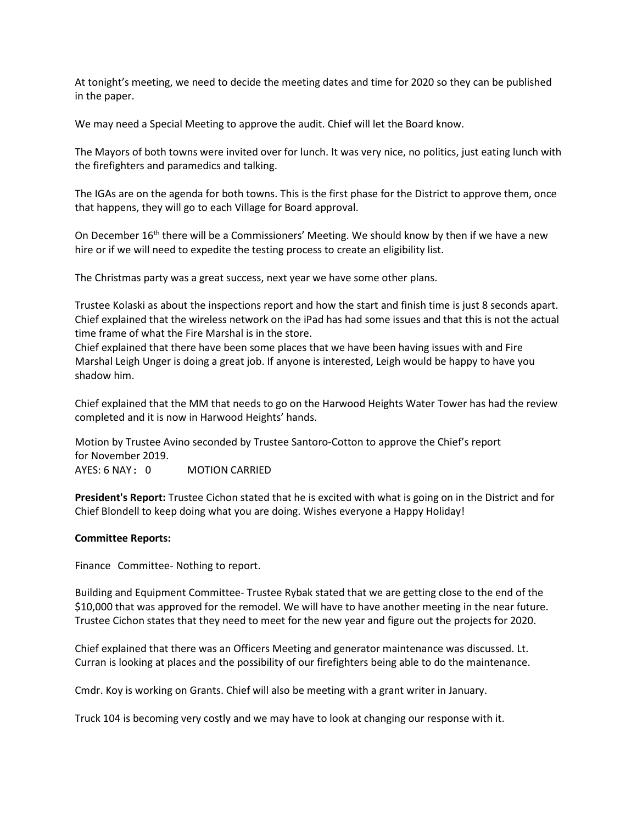At tonight's meeting, we need to decide the meeting dates and time for 2020 so they can be published in the paper.

We may need a Special Meeting to approve the audit. Chief will let the Board know.

The Mayors of both towns were invited over for lunch. It was very nice, no politics, just eating lunch with the firefighters and paramedics and talking.

The IGAs are on the agenda for both towns. This is the first phase for the District to approve them, once that happens, they will go to each Village for Board approval.

On December  $16<sup>th</sup>$  there will be a Commissioners' Meeting. We should know by then if we have a new hire or if we will need to expedite the testing process to create an eligibility list.

The Christmas party was a great success, next year we have some other plans.

Trustee Kolaski as about the inspections report and how the start and finish time is just 8 seconds apart. Chief explained that the wireless network on the iPad has had some issues and that this is not the actual time frame of what the Fire Marshal is in the store.

Chief explained that there have been some places that we have been having issues with and Fire Marshal Leigh Unger is doing a great job. If anyone is interested, Leigh would be happy to have you shadow him.

Chief explained that the MM that needs to go on the Harwood Heights Water Tower has had the review completed and it is now in Harwood Heights' hands.

Motion by Trustee Avino seconded by Trustee Santoro-Cotton to approve the Chief's report for November 2019.

AYES: 6 NAY: 0 MOTION CARRIED

**President's Report:** Trustee Cichon stated that he is excited with what is going on in the District and for Chief Blondell to keep doing what you are doing. Wishes everyone a Happy Holiday!

## **Committee Reports:**

Finance Committee- Nothing to report.

Building and Equipment Committee- Trustee Rybak stated that we are getting close to the end of the \$10,000 that was approved for the remodel. We will have to have another meeting in the near future. Trustee Cichon states that they need to meet for the new year and figure out the projects for 2020.

Chief explained that there was an Officers Meeting and generator maintenance was discussed. Lt. Curran is looking at places and the possibility of our firefighters being able to do the maintenance.

Cmdr. Koy is working on Grants. Chief will also be meeting with a grant writer in January.

Truck 104 is becoming very costly and we may have to look at changing our response with it.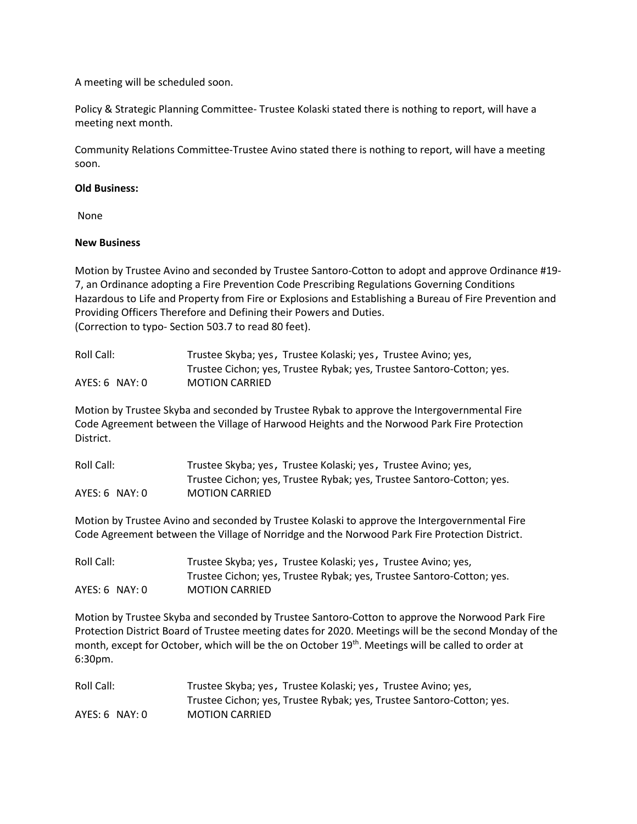A meeting will be scheduled soon.

Policy & Strategic Planning Committee- Trustee Kolaski stated there is nothing to report, will have a meeting next month.

Community Relations Committee-Trustee Avino stated there is nothing to report, will have a meeting soon.

## **Old Business:**

None

#### **New Business**

Motion by Trustee Avino and seconded by Trustee Santoro-Cotton to adopt and approve Ordinance #19- 7, an Ordinance adopting a Fire Prevention Code Prescribing Regulations Governing Conditions Hazardous to Life and Property from Fire or Explosions and Establishing a Bureau of Fire Prevention and Providing Officers Therefore and Defining their Powers and Duties. (Correction to typo- Section 503.7 to read 80 feet).

| Roll Call:         | Trustee Skyba; yes, Trustee Kolaski; yes, Trustee Avino; yes,         |
|--------------------|-----------------------------------------------------------------------|
|                    | Trustee Cichon; yes, Trustee Rybak; yes, Trustee Santoro-Cotton; yes. |
| $AYES: 6$ $NAY: 0$ | <b>MOTION CARRIED</b>                                                 |

Motion by Trustee Skyba and seconded by Trustee Rybak to approve the Intergovernmental Fire Code Agreement between the Village of Harwood Heights and the Norwood Park Fire Protection District.

| Roll Call:         | Trustee Skyba; yes, Trustee Kolaski; yes, Trustee Avino; yes,         |
|--------------------|-----------------------------------------------------------------------|
|                    | Trustee Cichon; yes, Trustee Rybak; yes, Trustee Santoro-Cotton; yes. |
| $AYES: 6$ $NAY: 0$ | <b>MOTION CARRIED</b>                                                 |

Motion by Trustee Avino and seconded by Trustee Kolaski to approve the Intergovernmental Fire Code Agreement between the Village of Norridge and the Norwood Park Fire Protection District.

| Roll Call:     | Trustee Skyba; yes, Trustee Kolaski; yes, Trustee Avino; yes,         |
|----------------|-----------------------------------------------------------------------|
|                | Trustee Cichon; yes, Trustee Rybak; yes, Trustee Santoro-Cotton; yes. |
| AYES: 6 NAY: 0 | <b>MOTION CARRIED</b>                                                 |

Motion by Trustee Skyba and seconded by Trustee Santoro-Cotton to approve the Norwood Park Fire Protection District Board of Trustee meeting dates for 2020. Meetings will be the second Monday of the month, except for October, which will be the on October 19<sup>th</sup>. Meetings will be called to order at 6:30pm.

| Roll Call:       | Trustee Skyba; yes, Trustee Kolaski; yes, Trustee Avino; yes,         |
|------------------|-----------------------------------------------------------------------|
|                  | Trustee Cichon; yes, Trustee Rybak; yes, Trustee Santoro-Cotton; yes. |
| $AYES: 6$ NAY: 0 | <b>MOTION CARRIED</b>                                                 |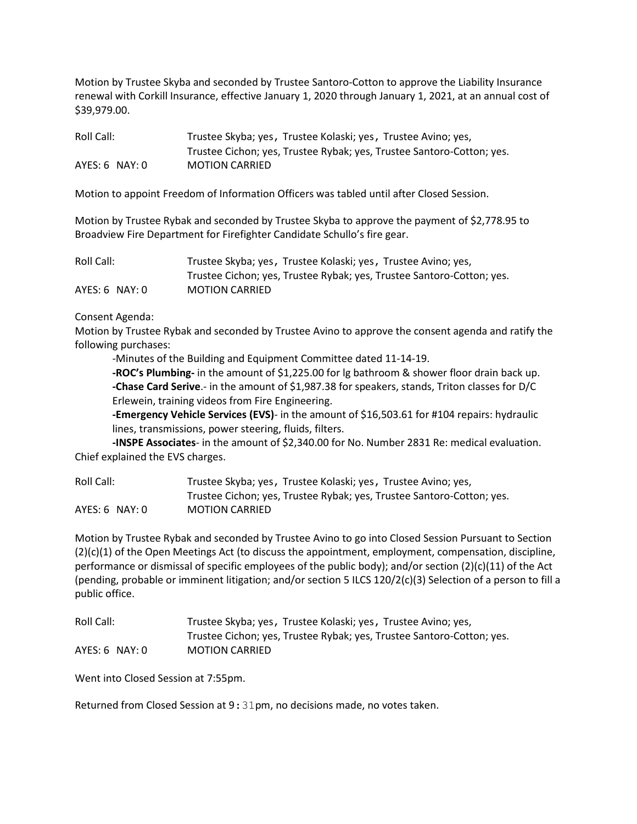Motion by Trustee Skyba and seconded by Trustee Santoro-Cotton to approve the Liability Insurance renewal with Corkill Insurance, effective January 1, 2020 through January 1, 2021, at an annual cost of \$39,979.00.

| Roll Call:         | Trustee Skyba; yes, Trustee Kolaski; yes, Trustee Avino; yes,         |
|--------------------|-----------------------------------------------------------------------|
|                    | Trustee Cichon; yes, Trustee Rybak; yes, Trustee Santoro-Cotton; yes. |
| $AYES: 6$ $NAY: 0$ | <b>MOTION CARRIED</b>                                                 |

Motion to appoint Freedom of Information Officers was tabled until after Closed Session.

Motion by Trustee Rybak and seconded by Trustee Skyba to approve the payment of \$2,778.95 to Broadview Fire Department for Firefighter Candidate Schullo's fire gear.

| Roll Call:     | Trustee Skyba; yes, Trustee Kolaski; yes, Trustee Avino; yes,         |
|----------------|-----------------------------------------------------------------------|
|                | Trustee Cichon; yes, Trustee Rybak; yes, Trustee Santoro-Cotton; yes. |
| AYES: 6 NAY: 0 | <b>MOTION CARRIED</b>                                                 |

#### Consent Agenda:

Motion by Trustee Rybak and seconded by Trustee Avino to approve the consent agenda and ratify the following purchases:

-Minutes of the Building and Equipment Committee dated 11-14-19.

**-ROC's Plumbing-** in the amount of \$1,225.00 for lg bathroom & shower floor drain back up. **-Chase Card Serive**.- in the amount of \$1,987.38 for speakers, stands, Triton classes for D/C Erlewein, training videos from Fire Engineering.

**-Emergency Vehicle Services (EVS)**- in the amount of \$16,503.61 for #104 repairs: hydraulic lines, transmissions, power steering, fluids, filters.

**-INSPE Associates**- in the amount of \$2,340.00 for No. Number 2831 Re: medical evaluation. Chief explained the EVS charges.

| Roll Call:       | Trustee Skyba; yes, Trustee Kolaski; yes, Trustee Avino; yes,         |
|------------------|-----------------------------------------------------------------------|
|                  | Trustee Cichon; yes, Trustee Rybak; yes, Trustee Santoro-Cotton; yes. |
| $AYES: 6$ NAY: 0 | <b>MOTION CARRIED</b>                                                 |

Motion by Trustee Rybak and seconded by Trustee Avino to go into Closed Session Pursuant to Section (2)(c)(1) of the Open Meetings Act (to discuss the appointment, employment, compensation, discipline, performance or dismissal of specific employees of the public body); and/or section (2)(c)(11) of the Act (pending, probable or imminent litigation; and/or section 5 ILCS 120/2(c)(3) Selection of a person to fill a public office.

| Roll Call:       | Trustee Skyba; yes, Trustee Kolaski; yes, Trustee Avino; yes,         |
|------------------|-----------------------------------------------------------------------|
|                  | Trustee Cichon; yes, Trustee Rybak; yes, Trustee Santoro-Cotton; yes. |
| $AYES: 6$ NAY: 0 | <b>MOTION CARRIED</b>                                                 |

Went into Closed Session at 7:55pm.

Returned from Closed Session at 9:31pm, no decisions made, no votes taken.